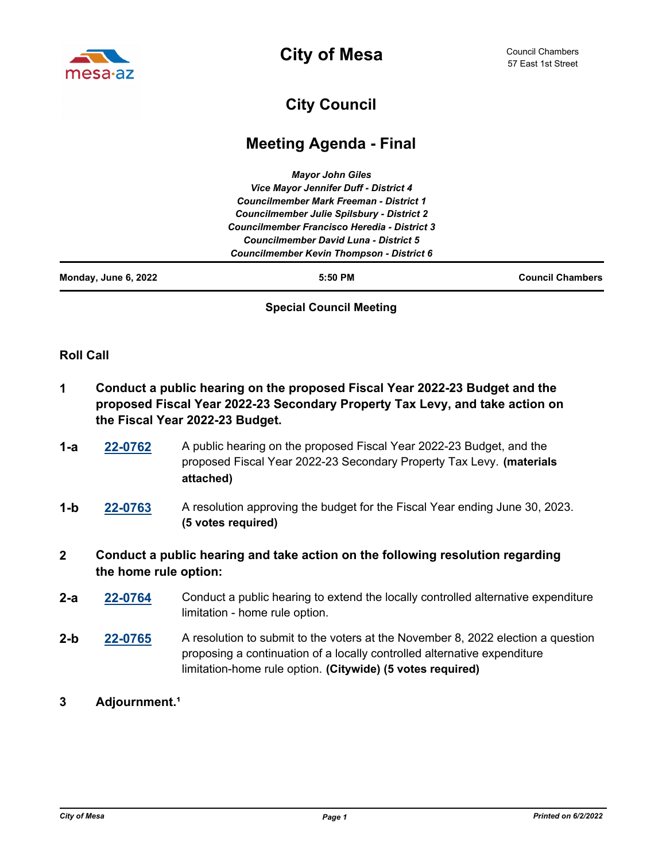

**City of Mesa**

## **City Council**

## **Meeting Agenda - Final**

|  | <b>Councilmember Kevin Thompson - District 6</b>    |  |
|--|-----------------------------------------------------|--|
|  | Councilmember David Luna - District 5               |  |
|  | <b>Councilmember Francisco Heredia - District 3</b> |  |
|  | <b>Councilmember Julie Spilsbury - District 2</b>   |  |
|  | <b>Councilmember Mark Freeman - District 1</b>      |  |
|  | Vice Mayor Jennifer Duff - District 4               |  |
|  | <b>Mayor John Giles</b>                             |  |

## **Special Council Meeting**

## **Roll Call**

- **1 Conduct a public hearing on the proposed Fiscal Year 2022-23 Budget and the proposed Fiscal Year 2022-23 Secondary Property Tax Levy, and take action on the Fiscal Year 2022-23 Budget.**
- **[22-0762](http://mesa.legistar.com/gateway.aspx?m=l&id=/matter.aspx?key=18653)** A public hearing on the proposed Fiscal Year 2022-23 Budget, and the proposed Fiscal Year 2022-23 Secondary Property Tax Levy. **(materials attached) 1-a**
- **[22-0763](http://mesa.legistar.com/gateway.aspx?m=l&id=/matter.aspx?key=18654)** A resolution approving the budget for the Fiscal Year ending June 30, 2023. **(5 votes required) 1-b**
- **2 Conduct a public hearing and take action on the following resolution regarding the home rule option:**
- **[22-0764](http://mesa.legistar.com/gateway.aspx?m=l&id=/matter.aspx?key=18655)** Conduct a public hearing to extend the locally controlled alternative expenditure limitation - home rule option. **2-a**
- **[22-0765](http://mesa.legistar.com/gateway.aspx?m=l&id=/matter.aspx?key=18656)** A resolution to submit to the voters at the November 8, 2022 election a question proposing a continuation of a locally controlled alternative expenditure limitation-home rule option. **(Citywide) (5 votes required) 2-b**
- **3 Adjournment.**<sup>1</sup>